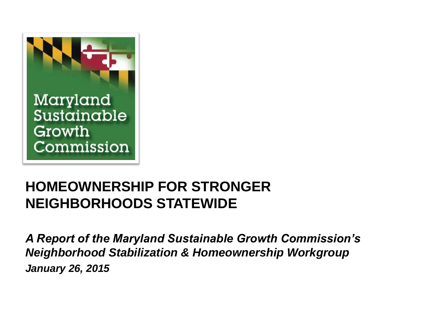

### **HOMEOWNERSHIP FOR STRONGER NEIGHBORHOODS STATEWIDE**

*A Report of the Maryland Sustainable Growth Commission's Neighborhood Stabilization & Homeownership Workgroup January 26, 2015*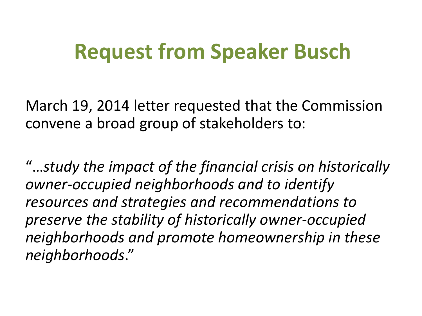### **Request from Speaker Busch**

March 19, 2014 letter requested that the Commission convene a broad group of stakeholders to:

"…*study the impact of the financial crisis on historically owner-occupied neighborhoods and to identify resources and strategies and recommendations to preserve the stability of historically owner-occupied neighborhoods and promote homeownership in these neighborhoods*."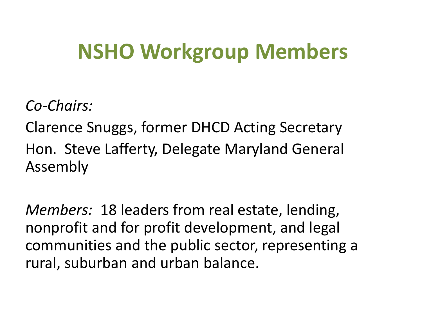### **NSHO Workgroup Members**

*Co-Chairs:*

Clarence Snuggs, former DHCD Acting Secretary Hon. Steve Lafferty, Delegate Maryland General Assembly

*Members:* 18 leaders from real estate, lending, nonprofit and for profit development, and legal communities and the public sector, representing a rural, suburban and urban balance.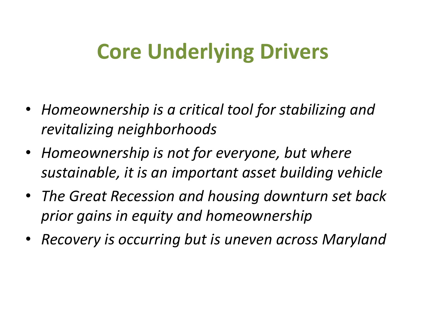## **Core Underlying Drivers**

- *Homeownership is a critical tool for stabilizing and revitalizing neighborhoods*
- *Homeownership is not for everyone, but where sustainable, it is an important asset building vehicle*
- *The Great Recession and housing downturn set back prior gains in equity and homeownership*
- *Recovery is occurring but is uneven across Maryland*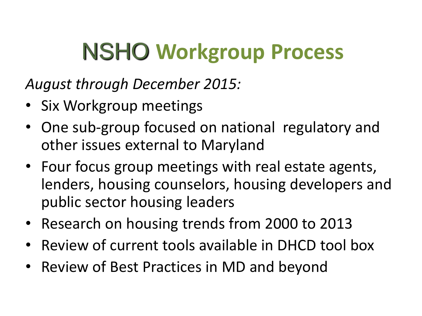# NSHO **Workgroup Process**

*August through December 2015:*

- Six Workgroup meetings
- One sub-group focused on national regulatory and other issues external to Maryland
- Four focus group meetings with real estate agents, lenders, housing counselors, housing developers and public sector housing leaders
- Research on housing trends from 2000 to 2013
- Review of current tools available in DHCD tool box
- Review of Best Practices in MD and beyond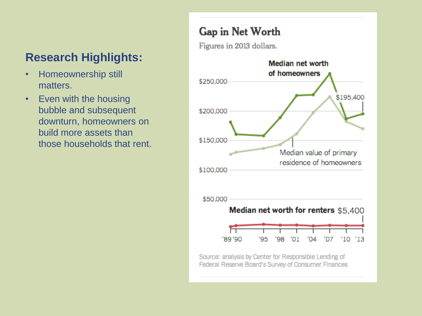- Homeownership still matters.
- Even with the housing bubble and subsequent downturn, homeowners on build more assets than those households that rent.

#### Gap in Net Worth

Figures in 2013 dollars.



Source: analysis by Center for Responsible Lending of Federal Reserve Board's Survey of Consumer Finances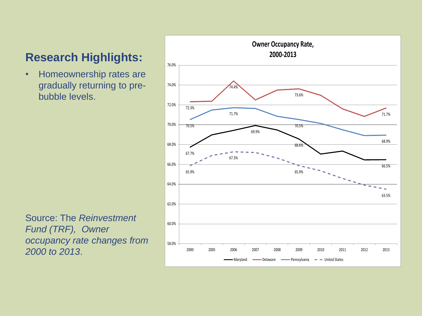• Homeownership rates are gradually returning to prebubble levels.

Source: The *Reinvestment Fund (TRF), Owner occupancy rate changes from 2000 to 2013*.

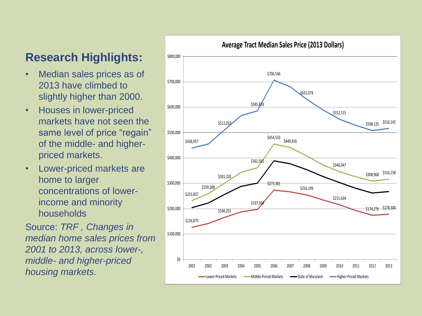- Median sales prices as of 2013 have climbed to slightly higher than 2000.
- Houses in lower-priced markets have not seen the same level of price "regain" of the middle- and higherpriced markets.
- Lower-priced markets are home to larger concentrations of lowerincome and minority households

Source: *TRF , Changes in median home sales prices from 2001 to 2013, across lower-, middle- and higher-priced housing markets.*

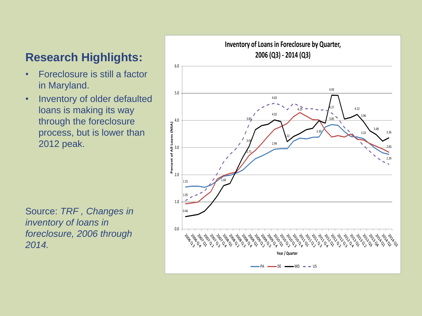- Foreclosure is still a factor in Maryland.
- Inventory of older defaulted loans is making its way through the foreclosure process, but is lower than 2012 peak.

Source: *TRF , Changes in inventory of loans in foreclosure, 2006 through 2014.*

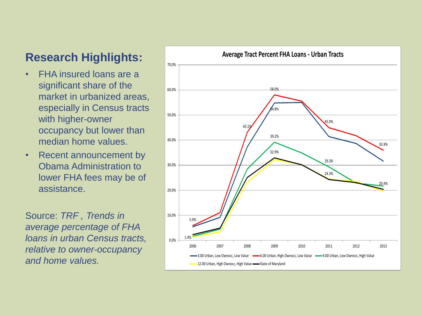- FHA insured loans are a significant share of the market in urbanized areas, especially in Census tracts with higher-owner occupancy but lower than median home values.
- Recent announcement by Obama Administration to lower FHA fees may be of assistance.

Source: *TRF , Trends in average percentage of FHA loans in urban Census tracts, relative to owner-occupancy and home values.*

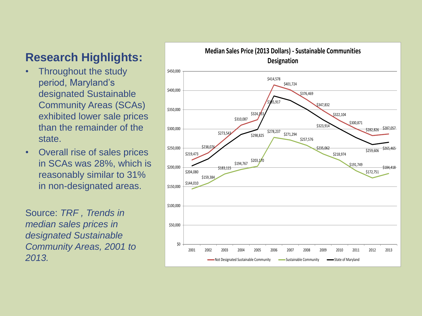- Throughout the study period, Maryland's designated Sustainable Community Areas (SCAs) exhibited lower sale prices than the remainder of the state.
- Overall rise of sales prices in SCAs was 28%, which is reasonably similar to 31% in non-designated areas.

Source: *TRF , Trends in median sales prices in designated Sustainable Community Areas, 2001 to 2013.*

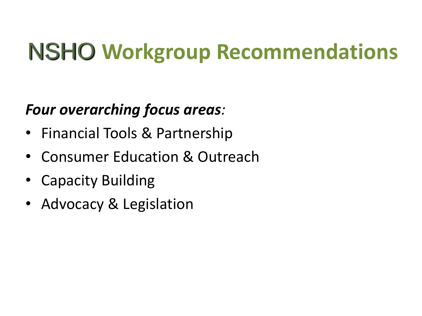### *Four overarching focus areas:*

- Financial Tools & Partnership
- Consumer Education & Outreach
- Capacity Building
- Advocacy & Legislation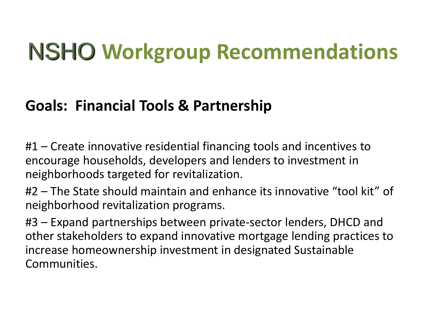### **Goals: Financial Tools & Partnership**

#1 – Create innovative residential financing tools and incentives to encourage households, developers and lenders to investment in neighborhoods targeted for revitalization.

#2 – The State should maintain and enhance its innovative "tool kit" of neighborhood revitalization programs.

#3 – Expand partnerships between private-sector lenders, DHCD and other stakeholders to expand innovative mortgage lending practices to increase homeownership investment in designated Sustainable Communities.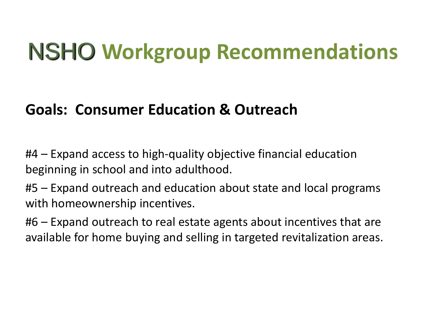### **Goals: Consumer Education & Outreach**

#4 – Expand access to high-quality objective financial education beginning in school and into adulthood.

#5 – Expand outreach and education about state and local programs with homeownership incentives.

#6 – Expand outreach to real estate agents about incentives that are available for home buying and selling in targeted revitalization areas.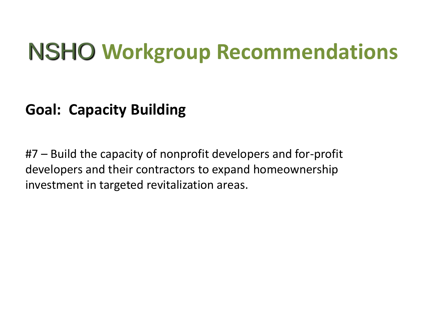### **Goal: Capacity Building**

#7 – Build the capacity of nonprofit developers and for-profit developers and their contractors to expand homeownership investment in targeted revitalization areas.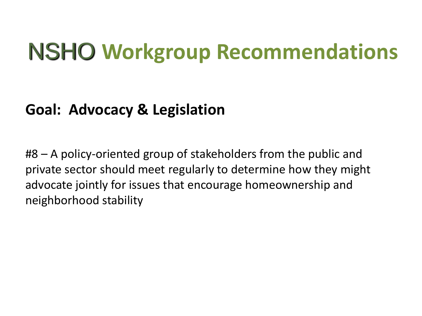### **Goal: Advocacy & Legislation**

#8 – A policy-oriented group of stakeholders from the public and private sector should meet regularly to determine how they might advocate jointly for issues that encourage homeownership and neighborhood stability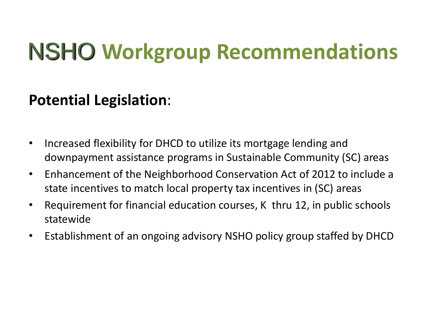### **Potential Legislation**:

- Increased flexibility for DHCD to utilize its mortgage lending and downpayment assistance programs in Sustainable Community (SC) areas
- Enhancement of the Neighborhood Conservation Act of 2012 to include a state incentives to match local property tax incentives in (SC) areas
- Requirement for financial education courses, K thru 12, in public schools statewide
- Establishment of an ongoing advisory NSHO policy group staffed by DHCD